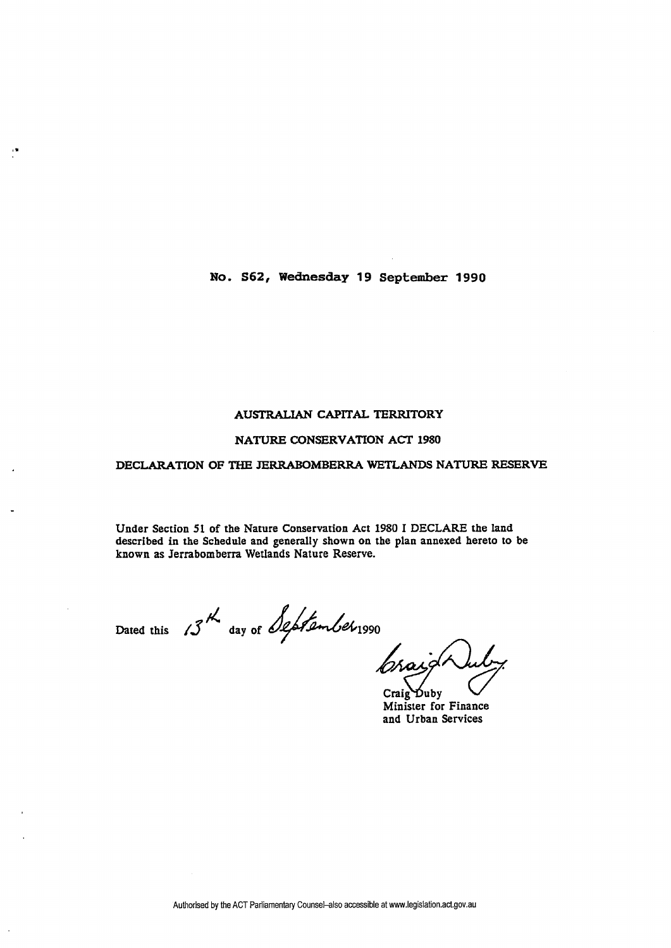**No. S62, Wednesday 19 September 1990** 

## **AUSTRALIAN CAPITAL TERRITORY**

## **NATURE CONSERVATION ACT 1980**

## **DECLARATION OF THE JERRABOMBERRA WETLANDS NATURE RESERVE**

**Under Section 51 of the Nature Conservation Act 1980 I DECLARE the land described in the Schedule and generally shown on the plan annexed hereto to be known as Jerrabomberra Wetlands Nature Reserve.** 

 $\frac{1}{2}$ 

Dated this 13<sup>th</sup> day of September 1990

Craig Duby **Minister for Finance and Urban Services**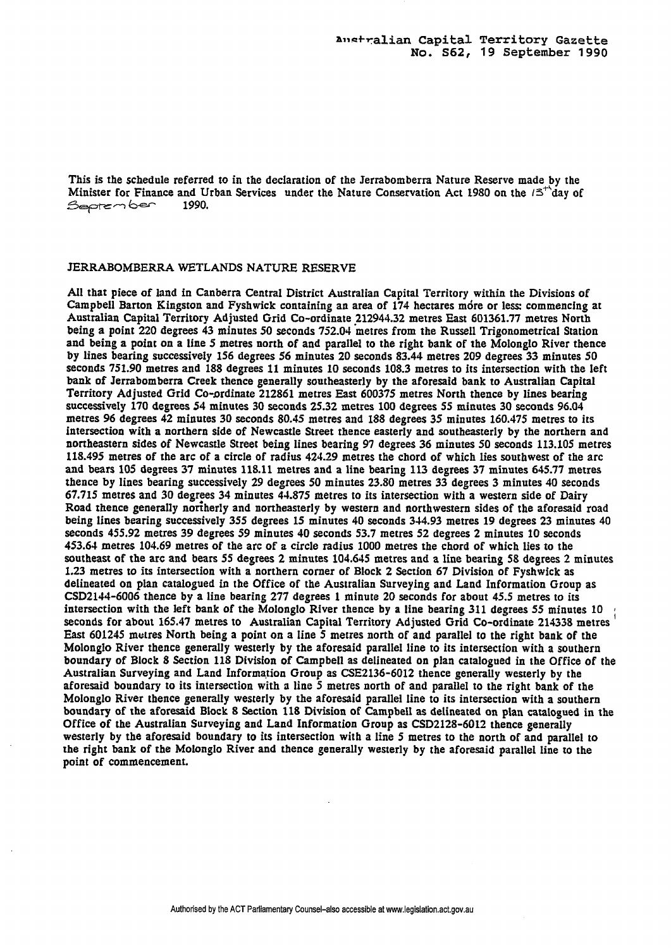This is the schedule referred to in the declaration of the Jerrabomberra Nature Reserve made by the Minister for Finance and Urban Services under the Nature Conservation Act **1980** on the **/3\*'day** of *<u>September</u>* 

## JERRABOMBERRA WETLANDS NATURE RESERVE

All that piece of land in Canberra Central District Australian Capital Territory within the Divisions of Campbell Barton Kingston and Fyshwick containing an area of **174** hectares mdre or less commencing at Australian Capital Territory Adjusted Grid Co-ordinate **212944.32** metres East **601361.77** metres North being a point **220** degrees **43** minutes **50** seconds **752.04** metres from the Russell Trigonometrical Station and being a point on a line **5** metres north of and parallel to the right bank of the Molonglo River thence by lines bearing successively **156** degrees **56** minutes **20** seconds **83.44** metres **209** degrees 33 minutes **50**  seconds **751.90** metres and **188** degrees 11 minutes **10** seconds **108.3** metres to its intersection with the left bank of Jerrabomberra Creek thence generally southeasterly by the aforesaid bank to Australian Capital Territory Adjusted Grid Co-ordinate 212861 metres East 600375 metres North thence by lines bearing successiveIy **170** degrees **54** minutes **30** seconds **25.32** metres **100** degrees 55 minutes **30** seconds **96.04**  metres **96** degrees **42** minutes **30** seconds **80.45** metres and **188** degrees **35** minutes **160.475** metres to its intersection with a northern side of Newcastle Street thence easterly and southeasterly by the northern and northeastern sides of Newcastle Street being lines bearing 97 degrees **36** minutes 50 seconds **113.105** metres **118.495** metres of the arc of a circle of radius **424.29** metres the chord of which lies southwest of the arc and bears **105** degrees **37** minutes **118.11** metres and a line bearing **113** degrees **37** minntes **645.77** metres thence by lines bearing successively **29** degrees **50** minutes **23.80** metres 33 degrees 3 minutes 40 seconds **67.715** metres and **30** degrfes **34** minutes **44.875** metres to its intersection with a western side of Dairy Road thence generally northerly and northeasterly by western and northwestern sides of the aforesaid road being lines bearing successively **355** degrees **15** minutes **40** seconds **344.93** metres **19** degrees **23** minutes 40 seconds **455.92** metres **39** degrees **59** minutes **40** seconds **53.7** metres **52** degrees 2 minutes 10 seconds **453.64** metres **104.69** metres of the arc of a circle radius **1000** metres the chord of which lies to the southeast of the arc and bears 55 degrees 2 minutes **104.645** metres and **a** line bearing **58** degrees 2 minutes **1.23** metres to its intersection with a northern corner of Block 2 Section **67** Division of Fyshwick as delineated on plan catalogued in the Office of the Australian Surveying and Land Information Group as **CSD2144-6006** thence by a line bearing **277** degrees **1** minute 20 seconds for about **45.5** metres to its seconds for about 165.47 metres to Australian Capital Territory Adjusted Grid Co-ordinate 214338 metres East **601245** meires North being a point on a line **5** metres north of and parallel to the right bank of the Molonglo River thence generally westerly by the aforesaid parallel line to its intersection with a southern boundary of Block 8 Section **118** Division of Campbell as delineated on plan catalogued in the Office of the Australian Surveying and Land Information Group as **CSE2136-6012** thence generally westerly by the aforesaid boundary to its intersection with a line **5** metres north of and parallel to the right bank of the Molonglo River thence generally westerly by the aforesaid parallel line to its intersection with a southern boundary of the aforesaid Block 8 Section **118** Division of CampbeII as delineated on plan catalogued in the Office of the Australian Surveying and Land Information Group as **CSD2128-6012** thence generally westerly by the aforesaid boundary to its intersection with a line 5 metres to the north of and parallel to the right bank of the MolongIo River and thence generally westerly by the aforesaid parallel line to the point of commencement.